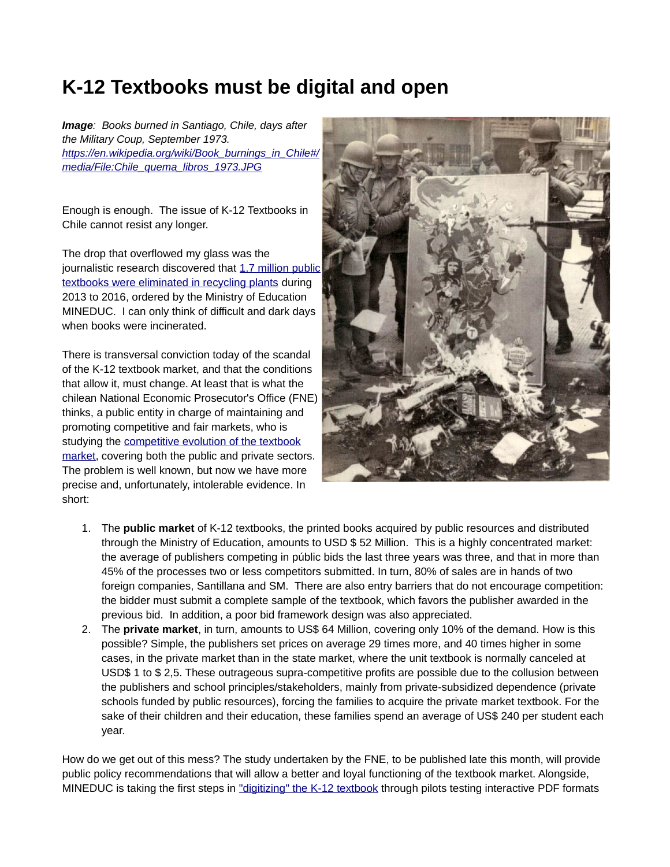## **K-12 Textbooks must be digital and open**

*Image: Books burned in Santiago, Chile, days after the Military Coup, September 1973. [https://en.wikipedia.org/wiki/Book\\_burnings\\_in\\_Chile#/](https://en.wikipedia.org/wiki/Book_burnings_in_Chile#/media/File:Chile_quema_libros_1973.JPG) [media/File:Chile\\_quema\\_libros\\_1973.JPG](https://en.wikipedia.org/wiki/Book_burnings_in_Chile#/media/File:Chile_quema_libros_1973.JPG)*

Enough is enough. The issue of K-12 Textbooks in Chile cannot resist any longer.

The drop that overflowed my glass was the journalistic research discovered that [1.7 million public](https://www.biobiochile.cl/especial/noticias/reportajes/reportajes-reportajes/2018/11/06/gobierno-de-pinera-y-bachelet-dejaron-de-distribute-millions-of-texts-schools.shtml) [textbooks were eliminated in recycling plants](https://www.biobiochile.cl/especial/noticias/reportajes/reportajes-reportajes/2018/11/06/gobierno-de-pinera-y-bachelet-dejaron-de-distribute-millions-of-texts-schools.shtml) during 2013 to 2016, ordered by the Ministry of Education MINEDUC. I can only think of difficult and dark days when books were incinerated.

There is transversal conviction today of the scandal of the K-12 textbook market, and that the conditions that allow it, must change. At least that is what the chilean National Economic Prosecutor's Office (FNE) thinks, a public entity in charge of maintaining and promoting competitive and fair markets, who is studying the [competitive evolution of the textbook](http://www.fne.gob.cl/wp-content/uploads/2018/10/Minute_textos-escolares_EM04-2018.pdf) [market,](http://www.fne.gob.cl/wp-content/uploads/2018/10/Minute_textos-escolares_EM04-2018.pdf) covering both the public and private sectors. The problem is well known, but now we have more precise and, unfortunately, intolerable evidence. In short:



- 1. The **public market** of K-12 textbooks, the printed books acquired by public resources and distributed through the Ministry of Education, amounts to USD \$ 52 Million. This is a highly concentrated market: the average of publishers competing in públic bids the last three years was three, and that in more than 45% of the processes two or less competitors submitted. In turn, 80% of sales are in hands of two foreign companies, Santillana and SM. There are also entry barriers that do not encourage competition: the bidder must submit a complete sample of the textbook, which favors the publisher awarded in the previous bid. In addition, a poor bid framework design was also appreciated.
- 2. The **private market**, in turn, amounts to US\$ 64 Million, covering only 10% of the demand. How is this possible? Simple, the publishers set prices on average 29 times more, and 40 times higher in some cases, in the private market than in the state market, where the unit textbook is normally canceled at USD\$ 1 to \$ 2,5. These outrageous supra-competitive profits are possible due to the collusion between the publishers and school principles/stakeholders, mainly from private-subsidized dependence (private schools funded by public resources), forcing the families to acquire the private market textbook. For the sake of their children and their education, these families spend an average of US\$ 240 per student each year.

How do we get out of this mess? The study undertaken by the FNE, to be published late this month, will provide public policy recommendations that will allow a better and loyal functioning of the textbook market. Alongside, MINEDUC is taking the first steps in "digitizing" the K-12 textbook through pilots testing interactive PDF formats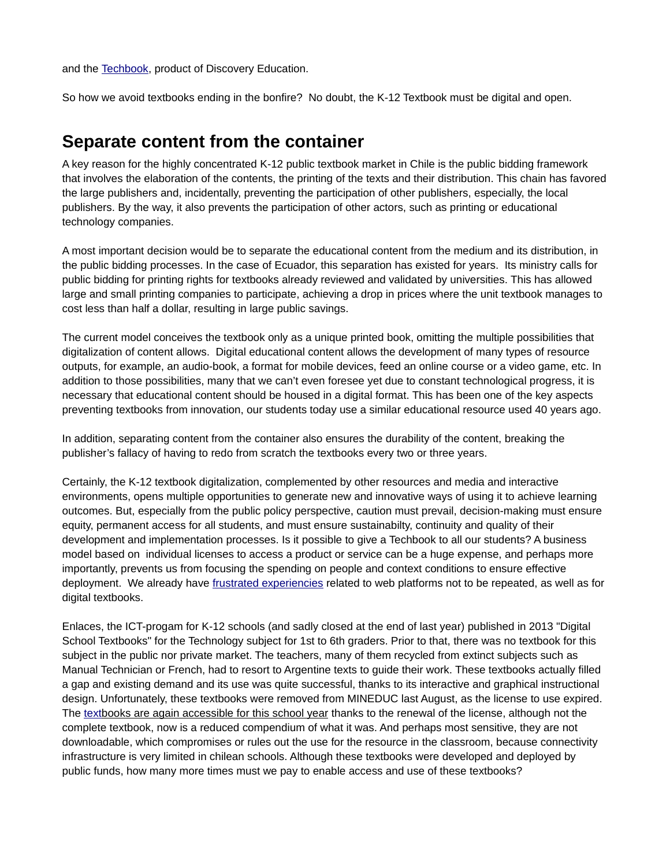and the [Techbook,](https://www.discoveryeducation.com/what-we-offer/techbook-digital-textbooks/) product of Discovery Education.

So how we avoid textbooks ending in the bonfire? No doubt, the K-12 Textbook must be digital and open.

## **Separate content from the container**

A key reason for the highly concentrated K-12 public textbook market in Chile is the public bidding framework that involves the elaboration of the contents, the printing of the texts and their distribution. This chain has favored the large publishers and, incidentally, preventing the participation of other publishers, especially, the local publishers. By the way, it also prevents the participation of other actors, such as printing or educational technology companies.

A most important decision would be to separate the educational content from the medium and its distribution, in the public bidding processes. In the case of Ecuador, this separation has existed for years. Its ministry calls for public bidding for printing rights for textbooks already reviewed and validated by universities. This has allowed large and small printing companies to participate, achieving a drop in prices where the unit textbook manages to cost less than half a dollar, resulting in large public savings.

The current model conceives the textbook only as a unique printed book, omitting the multiple possibilities that digitalization of content allows. Digital educational content allows the development of many types of resource outputs, for example, an audio-book, a format for mobile devices, feed an online course or a video game, etc. In addition to those possibilities, many that we can't even foresee yet due to constant technological progress, it is necessary that educational content should be housed in a digital format. This has been one of the key aspects preventing textbooks from innovation, our students today use a similar educational resource used 40 years ago.

In addition, separating content from the container also ensures the durability of the content, breaking the publisher's fallacy of having to redo from scratch the textbooks every two or three years.

Certainly, the K-12 textbook digitalization, complemented by other resources and media and interactive environments, opens multiple opportunities to generate new and innovative ways of using it to achieve learning outcomes. But, especially from the public policy perspective, caution must prevail, decision-making must ensure equity, permanent access for all students, and must ensure sustainabilty, continuity and quality of their development and implementation processes. Is it possible to give a Techbook to all our students? A business model based on individual licenses to access a product or service can be a huge expense, and perhaps more importantly, prevents us from focusing the spending on people and context conditions to ensure effective deployment. We already have [frustrated experiencies](https://www.elquintopoder.cl/educacion/recursos-educacionales-abiertos-potencial-impacto-y-politica-publica/) related to web platforms not to be repeated, as well as for digital textbooks.

Enlaces, the ICT-progam for K-12 schools (and sadly closed at the end of last year) published in 2013 "Digital School Textbooks" for the Technology subject for 1st to 6th graders. Prior to that, there was no textbook for this subject in the public nor private market. The teachers, many of them recycled from extinct subjects such as Manual Technician or French, had to resort to Argentine texts to guide their work. These textbooks actually filled a gap and existing demand and its use was quite successful, thanks to its interactive and graphical instructional design. Unfortunately, these textbooks were removed from MINEDUC last August, as the license to use expired. The textbooks are again accessible for this school year thanks to the renewal of the license, although not the complete textbook, now is a reduced compendium of what it was. And perhaps most sensitive, they are not downloadable, which compromises or rules out the use for the resource in the classroom, because connectivity infrastructure is very limited in chilean schools. Although these textbooks were developed and deployed by public funds, how many more times must we pay to enable access and use of these textbooks?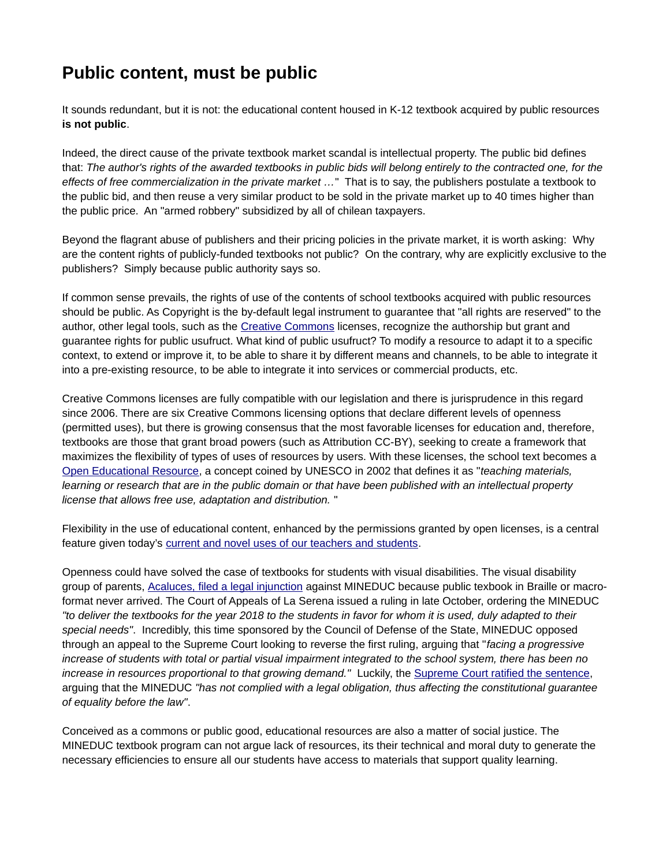## **Public content, must be public**

It sounds redundant, but it is not: the educational content housed in K-12 textbook acquired by public resources **is not public**.

Indeed, the direct cause of the private textbook market scandal is intellectual property. The public bid defines that: *The author's rights of the awarded textbooks in public bids will belong entirely to the contracted one, for the effects of free commercialization in the private market …*" That is to say, the publishers postulate a textbook to the public bid, and then reuse a very similar product to be sold in the private market up to 40 times higher than the public price. An "armed robbery" subsidized by all of chilean taxpayers.

Beyond the flagrant abuse of publishers and their pricing policies in the private market, it is worth asking: Why are the content rights of publicly-funded textbooks not public? On the contrary, why are explicitly exclusive to the publishers? Simply because public authority says so.

If common sense prevails, the rights of use of the contents of school textbooks acquired with public resources should be public. As Copyright is the by-default legal instrument to guarantee that "all rights are reserved" to the author, other legal tools, such as the [Creative Commons](https://creativecommons.org/) licenses, recognize the authorship but grant and guarantee rights for public usufruct. What kind of public usufruct? To modify a resource to adapt it to a specific context, to extend or improve it, to be able to share it by different means and channels, to be able to integrate it into a pre-existing resource, to be able to integrate it into services or commercial products, etc.

Creative Commons licenses are fully compatible with our legislation and there is jurisprudence in this regard since 2006. There are six Creative Commons licensing options that declare different levels of openness (permitted uses), but there is growing consensus that the most favorable licenses for education and, therefore, textbooks are those that grant broad powers (such as Attribution CC-BY), seeking to create a framework that maximizes the flexibility of types of uses of resources by users. With these licenses, the school text becomes a [Open Educational Resource,](https://en.unesco.org/node/275478) a concept coined by UNESCO in 2002 that defines it as "*teaching materials, learning or research that are in the public domain or that have been published with an intellectual property license that allows free use, adaptation and distribution.* "

Flexibility in the use of educational content, enhanced by the permissions granted by open licenses, is a central feature given today's [current and novel uses of our teachers and students.](file:///home/wwestermann/https:%20%2F%2Fwww.elquintopoder.cl%2Feducacion%2Fhacia-el-texto-school-open-new-background%2F)

Openness could have solved the case of textbooks for students with visual disabilities. The visual disability group of parents, [Acaluces, filed a legal injunction](https://www.latercera.com/la-tercera-pm/noticia/el-ano-en-que-los-ninos-con-discapacidad-visual-no-recib-sus-textos-escolar/431550/) against MINEDUC because public texbook in Braille or macroformat never arrived. The Court of Appeals of La Serena issued a ruling in late October, ordering the MINEDUC *"to deliver the textbooks for the year 2018 to the students in favor for whom it is used, duly adapted to their special needs"*. Incredibly, this time sponsored by the Council of Defense of the State, MINEDUC opposed through an appeal to the Supreme Court looking to reverse the first ruling, arguing that "*facing a progressive increase of students with total or partial visual impairment integrated to the school system, there has been no increase in resources proportional to that growing demand."* Luckily, the [Supreme Court ratified the sentence,](https://www.eldinamo.cl/educacion/2019/02/12/suprema-confirma-recurso-contra-mineduc-and-obliga-a-entregar-textos-escolares-a-students-with-visual-disability/) arguing that the MINEDUC *"has not complied with a legal obligation, thus affecting the constitutional guarantee of equality before the law"*.

Conceived as a commons or public good, educational resources are also a matter of social justice. The MINEDUC textbook program can not argue lack of resources, its their technical and moral duty to generate the necessary efficiencies to ensure all our students have access to materials that support quality learning.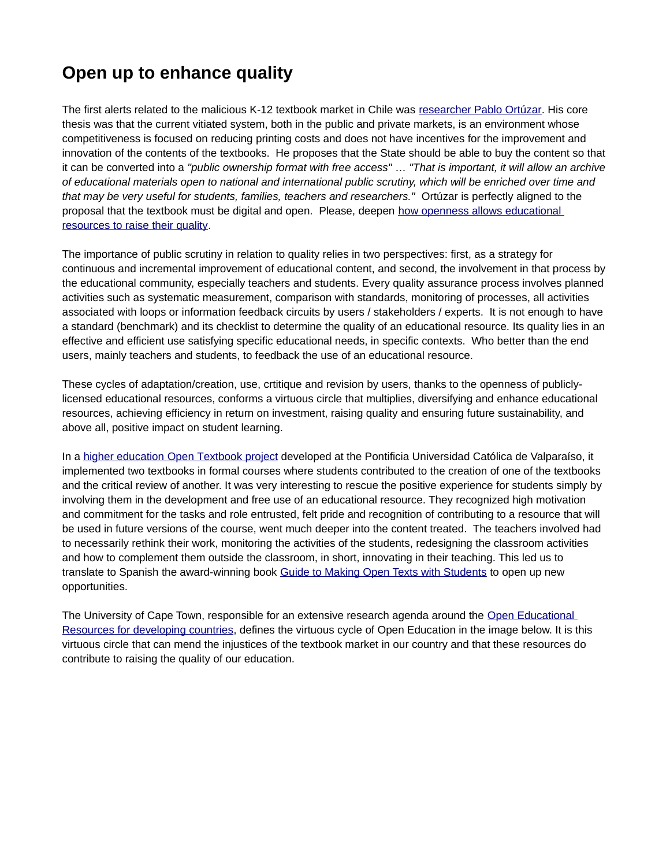## **Open up to enhance quality**

The first alerts related to the malicious K-12 textbook market in Chile was [researcher Pablo Ortúzar.](http://www.ieschile.cl/wp-content/uploads/2011/07/Informe-Textos-escolares.pdf) His core thesis was that the current vitiated system, both in the public and private markets, is an environment whose competitiveness is focused on reducing printing costs and does not have incentives for the improvement and innovation of the contents of the textbooks. He proposes that the State should be able to buy the content so that it can be converted into a *"public ownership format with free access"* … *"That is important, it will allow an archive of educational materials open to national and international public scrutiny, which will be enriched over time and that may be very useful for students, families, teachers and researchers."* Ortúzar is perfectly aligned to the proposal that the textbook must be digital and open. Please, deepen how openness allows educational [resources to raise their quality.](https://www.elquintopoder.cl/educacion/textos-escolares-alidad-a-traves-de-la-apertura/)

The importance of public scrutiny in relation to quality relies in two perspectives: first, as a strategy for continuous and incremental improvement of educational content, and second, the involvement in that process by the educational community, especially teachers and students. Every quality assurance process involves planned activities such as systematic measurement, comparison with standards, monitoring of processes, all activities associated with loops or information feedback circuits by users / stakeholders / experts. It is not enough to have a standard (benchmark) and its checklist to determine the quality of an educational resource. Its quality lies in an effective and efficient use satisfying specific educational needs, in specific contexts. Who better than the end users, mainly teachers and students, to feedback the use of an educational resource.

These cycles of adaptation/creation, use, crtitique and revision by users, thanks to the openness of publiclylicensed educational resources, conforms a virtuous circle that multiplies, diversifying and enhance educational resources, achieving efficiency in return on investment, raising quality and ensuring future sustainability, and above all, positive impact on student learning.

In a higher education Open Textbook project developed at the Pontificia Universidad Católica de Valparaíso, it implemented two textbooks in formal courses where students contributed to the creation of one of the textbooks and the critical review of another. It was very interesting to rescue the positive experience for students simply by involving them in the development and free use of an educational resource. They recognized high motivation and commitment for the tasks and role entrusted, felt pride and recognition of contributing to a resource that will be used in future versions of the course, went much deeper into the content treated. The teachers involved had to necessarily rethink their work, monitoring the activities of the students, redesigning the classroom activities and how to complement them outside the classroom, in short, innovating in their teaching. This led us to translate to Spanish the award-winning book [Guide to Making Open Texts with Students](http://openbooks.biblioteca.ucv.cl/?page_id=110) to open up new opportunities.

The University of Cape Town, responsible for an extensive research agenda around the [Open Educational](http://roer4d.org/)  [Resources for developing countries,](http://roer4d.org/) defines the virtuous cycle of Open Education in the image below. It is this virtuous circle that can mend the injustices of the textbook market in our country and that these resources do contribute to raising the quality of our education.